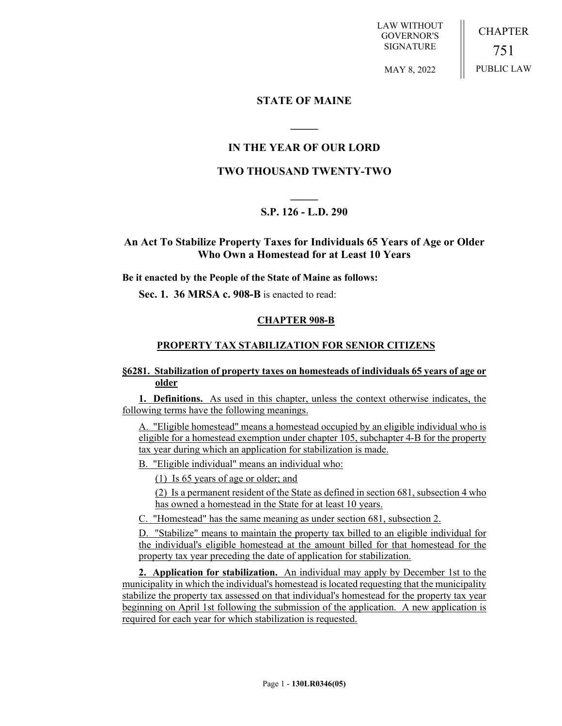LAW WITHOUT GOVERNOR'S SIGNATURE

**CHAPTER** 751 PUBLIC LAW

MAY 8, 2022

### **STATE OF MAINE**

# **IN THE YEAR OF OUR LORD**

**\_\_\_\_\_**

# **TWO THOUSAND TWENTY-TWO**

# **\_\_\_\_\_ S.P. 126 - L.D. 290**

## **An Act To Stabilize Property Taxes for Individuals 65 Years of Age or Older Who Own a Homestead for at Least 10 Years**

**Be it enacted by the People of the State of Maine as follows:**

**Sec. 1. 36 MRSA c. 908-B** is enacted to read:

### **CHAPTER 908-B**

#### **PROPERTY TAX STABILIZATION FOR SENIOR CITIZENS**

#### **§6281. Stabilization of property taxes on homesteads of individuals 65 years of age or older**

**1. Definitions.** As used in this chapter, unless the context otherwise indicates, the following terms have the following meanings.

A. "Eligible homestead" means a homestead occupied by an eligible individual who is eligible for a homestead exemption under chapter 105, subchapter 4-B for the property tax year during which an application for stabilization is made.

B. "Eligible individual" means an individual who:

(1) Is 65 years of age or older; and

(2) Is a permanent resident of the State as defined in section 681, subsection 4 who has owned a homestead in the State for at least 10 years.

C. "Homestead" has the same meaning as under section 681, subsection 2.

D. "Stabilize" means to maintain the property tax billed to an eligible individual for the individual's eligible homestead at the amount billed for that homestead for the property tax year preceding the date of application for stabilization.

**2. Application for stabilization.** An individual may apply by December 1st to the municipality in which the individual's homestead is located requesting that the municipality stabilize the property tax assessed on that individual's homestead for the property tax year beginning on April 1st following the submission of the application. A new application is required for each year for which stabilization is requested.